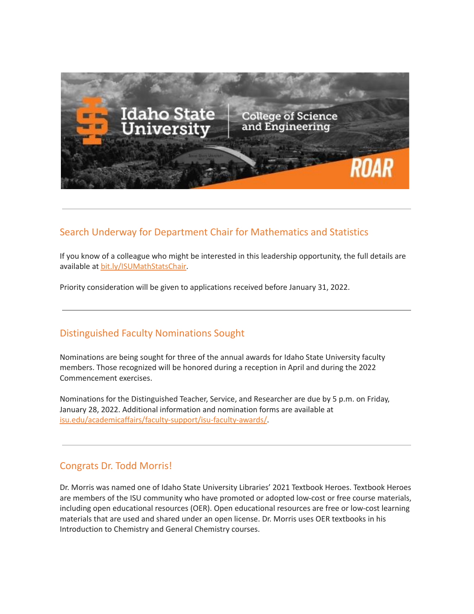

## Search Underway for Department Chair for Mathematics and Statistics

If you know of a colleague who might be interested in this leadership opportunity, the full details are available at [bit.ly/ISUMathStatsChair.](https://bit.ly/ISUMathStatsChair)

Priority consideration will be given to applications received before January 31, 2022.

## Distinguished Faculty Nominations Sought

Nominations are being sought for three of the annual awards for Idaho State University faculty members. Those recognized will be honored during a reception in April and during the 2022 Commencement exercises.

Nominations for the Distinguished Teacher, Service, and Researcher are due by 5 p.m. on Friday, January 28, 2022. Additional information and nomination forms are available at [isu.edu/academicaffairs/faculty-support/isu-faculty-awards/.](https://www.isu.edu/academicaffairs/faculty-support/isu-faculty-awards/)

## Congrats Dr. Todd Morris!

Dr. Morris was named one of Idaho State University Libraries' 2021 Textbook Heroes. Textbook Heroes are members of the ISU community who have promoted or adopted low-cost or free course materials, including open educational resources (OER). Open educational resources are free or low-cost learning materials that are used and shared under an open license. Dr. Morris uses OER textbooks in his Introduction to Chemistry and General Chemistry courses.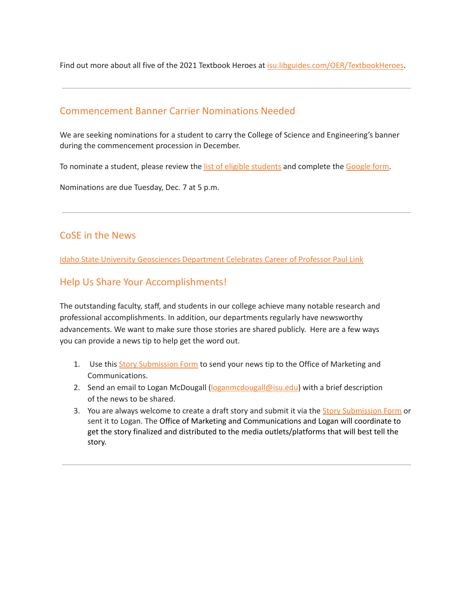Find out more about all five of the 2021 Textbook Heroes at [isu.libguides.com/OER/TextbookHeroes.](https://isu.libguides.com/OER/TextbookHeroes)

#### Commencement Banner Carrier Nominations Needed

We are seeking nominations for a student to carry the College of Science and Engineering's banner during the commencement procession in December.

To nominate a student, please review the list of eligible [students](https://docs.google.com/spreadsheets/d/1p3eMb9hRWbTU2UDzP9xRLgMAZatxTF3Z/edit?usp=sharing&ouid=113518218687581099826&rtpof=true&sd=true) and complete the [Google](https://forms.gle/D1iUkEcpdTuJGT8u7) form.

Nominations are due Tuesday, Dec. 7 at 5 p.m.

#### CoSE in the News

Idaho State University [Geosciences](https://www.isu.edu/news/2021-fall/idaho-state-university-geosciences-department-celebrates-career-of-professor-paul-link.html) Department Celebrates Career of Professor Paul Link

#### Help Us Share Your Accomplishments!

The outstanding faculty, staff, and students in our college achieve many notable research and professional accomplishments. In addition, our departments regularly have newsworthy advancements. We want to make sure those stories are shared publicly. Here are a few ways you can provide a news tip to help get the word out.

- 1. Use this Story [Submission](https://www.isu.edu/news/story-form/) Form to send your news tip to the Office of Marketing and Communications.
- 2. Send an email to Logan McDougall ([loganmcdougall@isu.edu](mailto:loganmcdougall@isu.edu)) with a brief description of the news to be shared.
- 3. You are always welcome to create a draft story and submit it via the Story [Submission](https://www.isu.edu/news/story-form/) Form or sent it to Logan. The Office of Marketing and Communications and Logan will coordinate to get the story finalized and distributed to the media outlets/platforms that will best tell the story.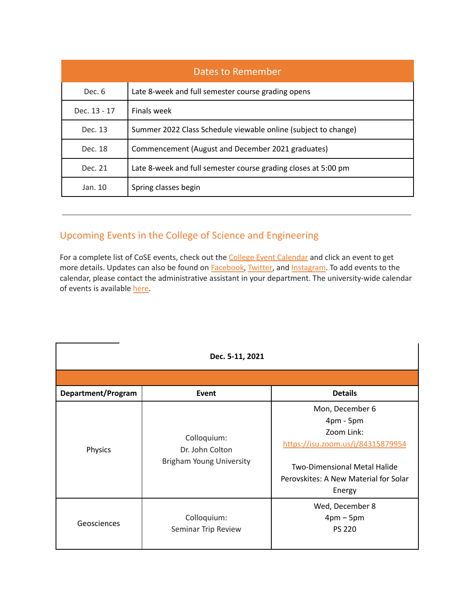| <b>Dates to Remember</b> |                                                                |  |  |
|--------------------------|----------------------------------------------------------------|--|--|
| Dec. 6                   | Late 8-week and full semester course grading opens             |  |  |
| Dec. 13 - 17             | Finals week                                                    |  |  |
| Dec. 13                  | Summer 2022 Class Schedule viewable online (subject to change) |  |  |
| Dec. 18                  | Commencement (August and December 2021 graduates)              |  |  |
| Dec. 21                  | Late 8-week and full semester course grading closes at 5:00 pm |  |  |
| Jan. 10                  | Spring classes begin                                           |  |  |

# Upcoming Events in the College of Science and Engineering

For a complete list of CoSE events, check out the **College Event [Calendar](https://isu.edu/cse/calendar/)** and click an event to get more details. Updates can also be found on **[Facebook](https://www.facebook.com/IdahoStateUCoSE)**, [Twitter](https://twitter.com/IdahoStateUCoSE), and [Instagram.](https://www.instagram.com/idahostateucose/) To add events to the calendar, please contact the administrative assistant in your department. The university-wide calendar of events is available [here](https://www.isu.edu/calendar/).

| Dec. 5-11, 2021    |                                                            |                                                                                                                                                                             |  |  |  |
|--------------------|------------------------------------------------------------|-----------------------------------------------------------------------------------------------------------------------------------------------------------------------------|--|--|--|
|                    |                                                            |                                                                                                                                                                             |  |  |  |
| Department/Program | Event                                                      | <b>Details</b>                                                                                                                                                              |  |  |  |
| Physics            | Colloquium:<br>Dr. John Colton<br>Brigham Young University | Mon, December 6<br>$4pm - 5pm$<br>Zoom Link:<br>https://isu.zoom.us/j/84315879954<br><b>Two-Dimensional Metal Halide</b><br>Perovskites: A New Material for Solar<br>Energy |  |  |  |
| Geosciences        | Colloquium:<br>Seminar Trip Review                         | Wed, December 8<br>$4pm-5pm$<br><b>PS 220</b>                                                                                                                               |  |  |  |